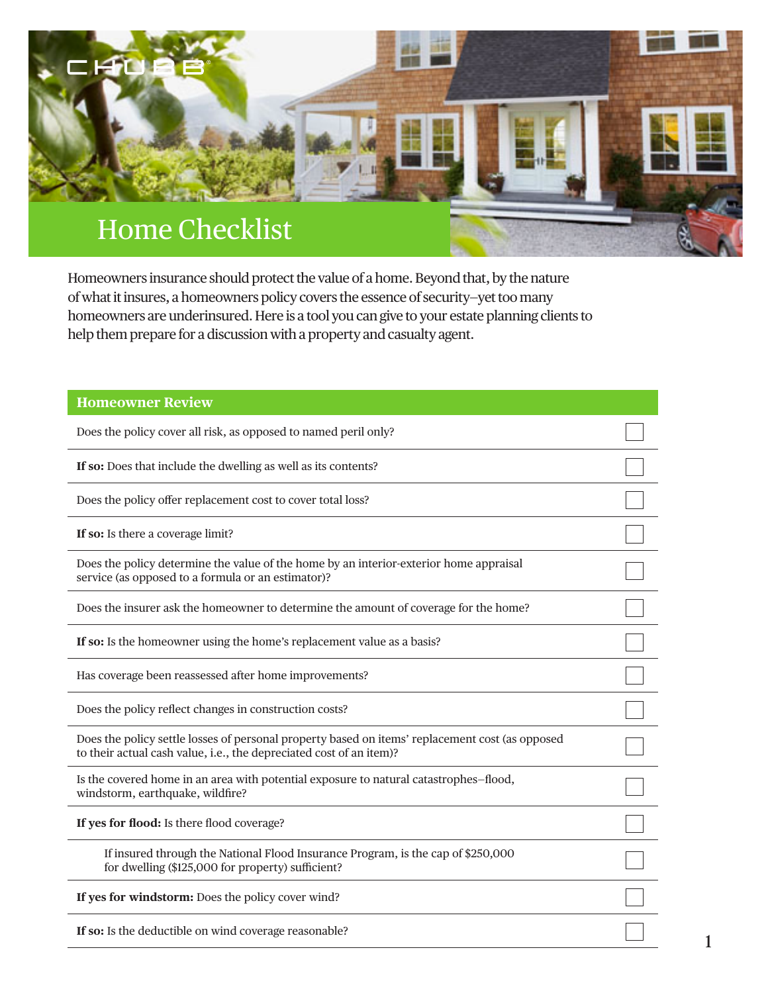

Homeowners insurance should protect the value of a home. Beyond that, by the nature of what it insures, a homeowners policy covers the essence of security—yet too many homeowners are underinsured. Here is a tool you can give to your estate planning clients to help them prepare for a discussion with a property and casualty agent.

| <b>Homeowner Review</b>                                                                                                                                                |  |
|------------------------------------------------------------------------------------------------------------------------------------------------------------------------|--|
| Does the policy cover all risk, as opposed to named peril only?                                                                                                        |  |
| If so: Does that include the dwelling as well as its contents?                                                                                                         |  |
| Does the policy offer replacement cost to cover total loss?                                                                                                            |  |
| If so: Is there a coverage limit?                                                                                                                                      |  |
| Does the policy determine the value of the home by an interior-exterior home appraisal<br>service (as opposed to a formula or an estimator)?                           |  |
| Does the insurer ask the homeowner to determine the amount of coverage for the home?                                                                                   |  |
| If so: Is the homeowner using the home's replacement value as a basis?                                                                                                 |  |
| Has coverage been reassessed after home improvements?                                                                                                                  |  |
| Does the policy reflect changes in construction costs?                                                                                                                 |  |
| Does the policy settle losses of personal property based on items' replacement cost (as opposed<br>to their actual cash value, i.e., the depreciated cost of an item)? |  |
| Is the covered home in an area with potential exposure to natural catastrophes-flood,<br>windstorm, earthquake, wildfire?                                              |  |
| If yes for flood: Is there flood coverage?                                                                                                                             |  |
| If insured through the National Flood Insurance Program, is the cap of \$250,000<br>for dwelling (\$125,000 for property) sufficient?                                  |  |
| If yes for windstorm: Does the policy cover wind?                                                                                                                      |  |
| If so: Is the deductible on wind coverage reasonable?                                                                                                                  |  |